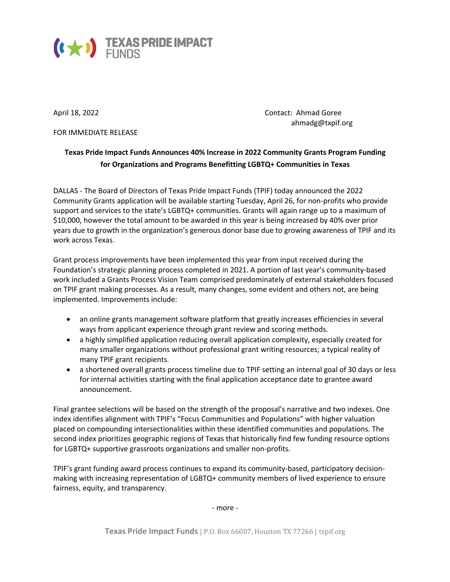

FOR IMMEDIATE RELEASE

April 18, 2022 **Contact: Ahmad Goree** ahmadg@txpif.org

## **Texas Pride Impact Funds Announces 40% Increase in 2022 Community Grants Program Funding for Organizations and Programs Benefitting LGBTQ+ Communities in Texas**

DALLAS - The Board of Directors of Texas Pride Impact Funds (TPIF) today announced the 2022 Community Grants application will be available starting Tuesday, April 26, for non-profits who provide support and services to the state's LGBTQ+ communities. Grants will again range up to a maximum of \$10,000, however the total amount to be awarded in this year is being increased by 40% over prior years due to growth in the organization's generous donor base due to growing awareness of TPIF and its work across Texas.

Grant process improvements have been implemented this year from input received during the Foundation's strategic planning process completed in 2021. A portion of last year's community-based work included a Grants Process Vision Team comprised predominately of external stakeholders focused on TPIF grant making processes. As a result, many changes, some evident and others not, are being implemented. Improvements include:

- an online grants management software platform that greatly increases efficiencies in several ways from applicant experience through grant review and scoring methods.
- a highly simplified application reducing overall application complexity, especially created for many smaller organizations without professional grant writing resources; a typical reality of many TPIF grant recipients.
- a shortened overall grants process timeline due to TPIF setting an internal goal of 30 days or less for internal activities starting with the final application acceptance date to grantee award announcement.

Final grantee selections will be based on the strength of the proposal's narrative and two indexes. One index identifies alignment with TPIF's "Focus Communities and Populations" with higher valuation placed on compounding intersectionalities within these identified communities and populations. The second index prioritizes geographic regions of Texas that historically find few funding resource options for LGBTQ+ supportive grassroots organizations and smaller non-profits.

TPIF's grant funding award process continues to expand its community-based, participatory decisionmaking with increasing representation of LGBTQ+ community members of lived experience to ensure fairness, equity, and transparency.

- more -